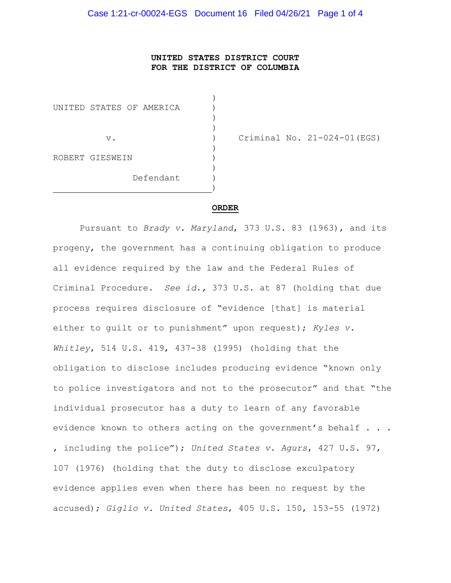## UNITED STATES DISTRICT COURT FOR THE DISTRICT OF COLUMBIA

 $)$ UNITED STATES OF AMERICA (1)  $)$  $)$  $)$ ROBERT GIESWEIN )  $)$  Defendant ) experience of the contract of the contract of the contract of the contract of the contract of the contract of

v. ) Criminal No. 21-024-01(EGS)

#### ORDER

Pursuant to Brady v. Maryland, 373 U.S. 83 (1963), and its progeny, the government has a continuing obligation to produce all evidence required by the law and the Federal Rules of Criminal Procedure. See id., 373 U.S. at 87 (holding that due process requires disclosure of "evidence [that] is material either to quilt or to punishment" upon request); Kyles v. Whitley, 514 U.S. 419, 437-38 (1995) (holding that the obligation to disclose includes producing evidence "known only to police investigators and not to the prosecutor" and that "the individual prosecutor has a duty to learn of any favorable evidence known to others acting on the government's behalf . . . , including the police"); United States v. Agurs, 427 U.S. 97, 107 (1976) (holding that the duty to disclose exculpatory evidence applies even when there has been no request by the accused); Giglio v. United States, 405 U.S. 150, 153-55 (1972)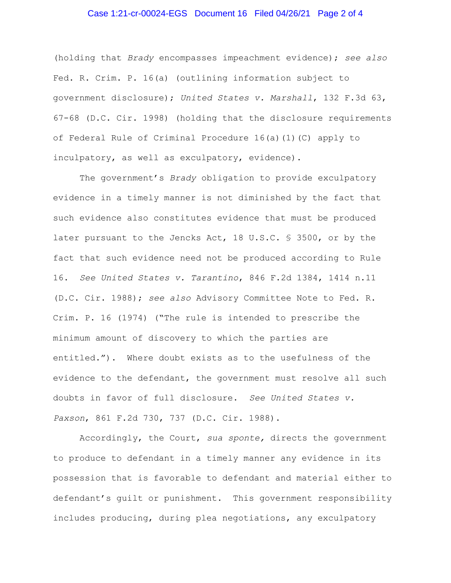# Case 1:21-cr-00024-EGS Document 16 Filed 04/26/21 Page 2 of 4

(holding that Brady encompasses impeachment evidence); see also Fed. R. Crim. P. 16(a) (outlining information subject to government disclosure); United States v. Marshall, 132 F.3d 63, 67-68 (D.C. Cir. 1998) (holding that the disclosure requirements of Federal Rule of Criminal Procedure 16(a)(1)(C) apply to inculpatory, as well as exculpatory, evidence).

The government's Brady obligation to provide exculpatory evidence in a timely manner is not diminished by the fact that such evidence also constitutes evidence that must be produced later pursuant to the Jencks Act, 18 U.S.C. § 3500, or by the fact that such evidence need not be produced according to Rule 16. See United States v. Tarantino, 846 F.2d 1384, 1414 n.11 (D.C. Cir. 1988); see also Advisory Committee Note to Fed. R. Crim. P. 16 (1974) ("The rule is intended to prescribe the minimum amount of discovery to which the parties are entitled."). Where doubt exists as to the usefulness of the evidence to the defendant, the government must resolve all such doubts in favor of full disclosure. See United States v. Paxson, 861 F.2d 730, 737 (D.C. Cir. 1988).

 Accordingly, the Court, sua sponte, directs the government to produce to defendant in a timely manner any evidence in its possession that is favorable to defendant and material either to defendant's guilt or punishment. This government responsibility includes producing, during plea negotiations, any exculpatory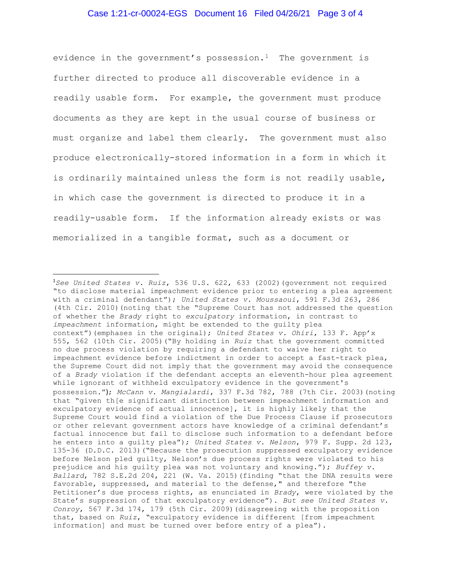## Case 1:21-cr-00024-EGS Document 16 Filed 04/26/21 Page 3 of 4

evidence in the government's possession.<sup>1</sup> The government is further directed to produce all discoverable evidence in a readily usable form. For example, the government must produce documents as they are kept in the usual course of business or must organize and label them clearly. The government must also produce electronically-stored information in a form in which it is ordinarily maintained unless the form is not readily usable, in which case the government is directed to produce it in a readily-usable form. If the information already exists or was memorialized in a tangible format, such as a document or

<sup>&</sup>lt;sup>1</sup>See United States v. Ruiz, 536 U.S. 622, 633 (2002) (government not required "to disclose material impeachment evidence prior to entering a plea agreement with a criminal defendant"); United States v. Moussaoui, 591 F.3d 263, 286 (4th Cir. 2010)(noting that the "Supreme Court has not addressed the question of whether the Brady right to exculpatory information, in contrast to impeachment information, might be extended to the guilty plea context") (emphases in the original); United States v. Ohiri, 133 F. App'x 555, 562 (10th Cir. 2005)("By holding in Ruiz that the government committed no due process violation by requiring a defendant to waive her right to impeachment evidence before indictment in order to accept a fast-track plea, the Supreme Court did not imply that the government may avoid the consequence of a Brady violation if the defendant accepts an eleventh-hour plea agreement while ignorant of withheld exculpatory evidence in the government's possession."); McCann v. Mangialardi, 337 F.3d 782, 788 (7th Cir. 2003)(noting that "given th[e significant distinction between impeachment information and exculpatory evidence of actual innocence], it is highly likely that the Supreme Court would find a violation of the Due Process Clause if prosecutors or other relevant government actors have knowledge of a criminal defendant's factual innocence but fail to disclose such information to a defendant before he enters into a guilty plea"); United States v. Nelson, 979 F. Supp. 2d 123, 135-36 (D.D.C. 2013)("Because the prosecution suppressed exculpatory evidence before Nelson pled guilty, Nelson's due process rights were violated to his prejudice and his guilty plea was not voluntary and knowing."); Buffey v. Ballard, 782 S.E.2d 204, 221 (W. Va. 2015)(finding "that the DNA results were favorable, suppressed, and material to the defense," and therefore "the Petitioner's due process rights, as enunciated in Brady, were violated by the State's suppression of that exculpatory evidence"). But see United States v. Conroy, 567 F.3d 174, 179 (5th Cir. 2009)(disagreeing with the proposition that, based on Ruiz, "exculpatory evidence is different [from impeachment information] and must be turned over before entry of a plea").